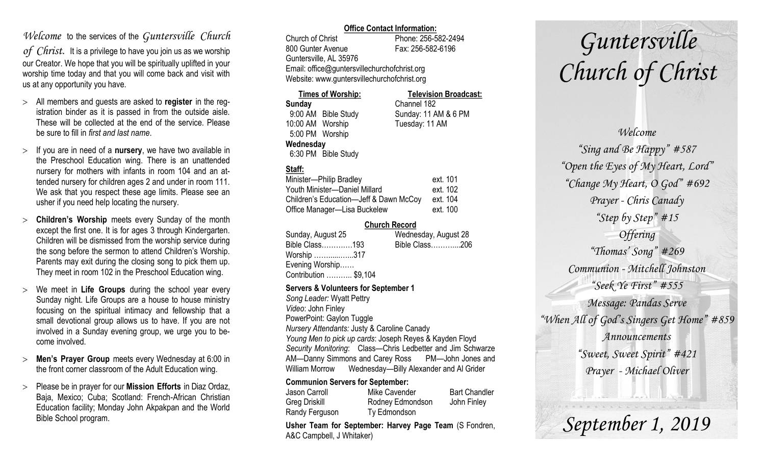## *Welcome* to the services of the *Guntersville Church*

*of Christ*. It is a privilege to have you join us as we worship our Creator. We hope that you will be spiritually uplifted in your worship time today and that you will come back and visit with us at any opportunity you have.

- All members and guests are asked to **register** in the registration binder as it is passed in from the outside aisle. These will be collected at the end of the service. Please be sure to fill in *first and last name*.
- $>$  If you are in need of a **nursery**, we have two available in the Preschool Education wing. There is an unattended nursery for mothers with infants in room 104 and an attended nursery for children ages 2 and under in room 111. We ask that you respect these age limits. Please see an usher if you need help locating the nursery.
- **Children's Worship** meets every Sunday of the month except the first one. It is for ages 3 through Kindergarten. Children will be dismissed from the worship service during the song before the sermon to attend Children's Worship. Parents may exit during the closing song to pick them up. They meet in room 102 in the Preschool Education wing.
- We meet in **Life Groups** during the school year every Sunday night. Life Groups are a house to house ministry focusing on the spiritual intimacy and fellowship that a small devotional group allows us to have. If you are not involved in a Sunday evening group, we urge you to become involved.
- **Men's Prayer Group** meets every Wednesday at 6:00 in the front corner classroom of the Adult Education wing.
- Please be in prayer for our **Mission Efforts** in Diaz Ordaz, Baja, Mexico; Cuba; Scotland: French-African Christian Education facility; Monday John Akpakpan and the World Bible School program.

### **Office Contact Information:**

Church of Christ Phone: 256-582-2494 800 Gunter Avenue Fax: 256-582-6196 Guntersville, AL 35976 Email: office@guntersvillechurchofchrist.org Website: www.guntersvillechurchofchrist.org

| <b>Times of Worship:</b> |                     | <b>Television Broadcast:</b> |  |
|--------------------------|---------------------|------------------------------|--|
| Sunday                   |                     | Channel 182                  |  |
|                          | 9:00 AM Bible Study | Sunday: 11 AM & 6 PM         |  |
| 10:00 AM Worship         |                     | Tuesday: 11 AM               |  |
| 5:00 PM Worship          |                     |                              |  |
| Wednesday                |                     |                              |  |
|                          | 6:30 PM Bible Study |                              |  |

### **Staff:**

| Minister-Philip Bradley                | ext. 101 |
|----------------------------------------|----------|
| Youth Minister-Daniel Millard          | ext. 102 |
| Children's Education-Jeff & Dawn McCoy | ext. 104 |
| Office Manager-Lisa Buckelew           | ext. 100 |

### **Church Record**

| Sunday, August 25     | Wednesday, August 28 |  |
|-----------------------|----------------------|--|
| Bible Class193        | Bible Class206       |  |
| Worship 317           |                      |  |
| Evening Worship       |                      |  |
| Contribution  \$9,104 |                      |  |
|                       |                      |  |

#### **Servers & Volunteers for September 1**

*Song Leader:* Wyatt Pettry *Video*: John Finley PowerPoint: Gaylon Tuggle *Nursery Attendants:* Justy & Caroline Canady *Young Men to pick up cards*: Joseph Reyes & Kayden Floyd *Security Monitoring*: Class—Chris Ledbetter and Jim Schwarze AM—Danny Simmons and Carey Ross PM—John Jones and William Morrow Wednesday—Billy Alexander and Al Grider

### **Communion Servers for September:**

| Jason Carroll  | Mike Cavender    | <b>Bart Chandler</b> |
|----------------|------------------|----------------------|
| Greg Driskill  | Rodney Edmondson | John Finley          |
| Randy Ferguson | Ty Edmondson     |                      |

**Usher Team for September: Harvey Page Team** (S Fondren, A&C Campbell, J Whitaker)

# *Guntersville Church of Christ*

*Welcome "Sing and Be Happy" #587 "Open the Eyes of My Heart, Lord" "Change My Heart, O God" #692 Prayer - Chris Canady "Step by Step" #15 Offering "Thomas' Song" #269 Communion - Mitchell Johnston "Seek Ye First" #555 Message: Pandas Serve "When All of God's Singers Get Home" #859 Announcements "Sweet, Sweet Spirit" #421 Prayer - Michael Oliver*

*September 1, 2019*